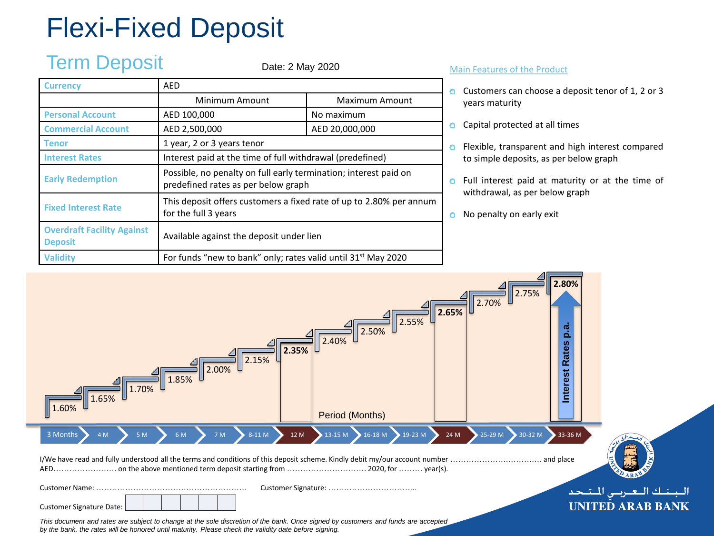# Flexi-Fixed Deposit

## Term Deposit

Date: 2 May 2020

| <b>Currency</b>                                     | AFD                                                                                                     |                       |  |  |  |  |  |
|-----------------------------------------------------|---------------------------------------------------------------------------------------------------------|-----------------------|--|--|--|--|--|
|                                                     | Minimum Amount                                                                                          | <b>Maximum Amount</b> |  |  |  |  |  |
| <b>Personal Account</b>                             | AED 100,000                                                                                             | No maximum            |  |  |  |  |  |
| <b>Commercial Account</b>                           | AED 2,500,000                                                                                           | AED 20,000,000        |  |  |  |  |  |
| Tenor                                               | 1 year, 2 or 3 years tenor                                                                              |                       |  |  |  |  |  |
| <b>Interest Rates</b>                               | Interest paid at the time of full withdrawal (predefined)                                               |                       |  |  |  |  |  |
| <b>Early Redemption</b>                             | Possible, no penalty on full early termination; interest paid on<br>predefined rates as per below graph |                       |  |  |  |  |  |
| <b>Fixed Interest Rate</b>                          | This deposit offers customers a fixed rate of up to 2.80% per annum<br>for the full 3 years             |                       |  |  |  |  |  |
| <b>Overdraft Facility Against</b><br><b>Deposit</b> | Available against the deposit under lien                                                                |                       |  |  |  |  |  |
| <b>Validity</b>                                     | For funds "new to bank" only; rates valid until 31 <sup>st</sup> May 2020                               |                       |  |  |  |  |  |

#### Main Features of the Product

- **O** Customers can choose a deposit tenor of 1, 2 or 3 years maturity
- Capital protected at all times o
- **O** Flexible, transparent and high interest compared to simple deposits, as per below graph
- **o** Full interest paid at maturity or at the time of withdrawal, as per below graph
- No penalty on early exit Ō.